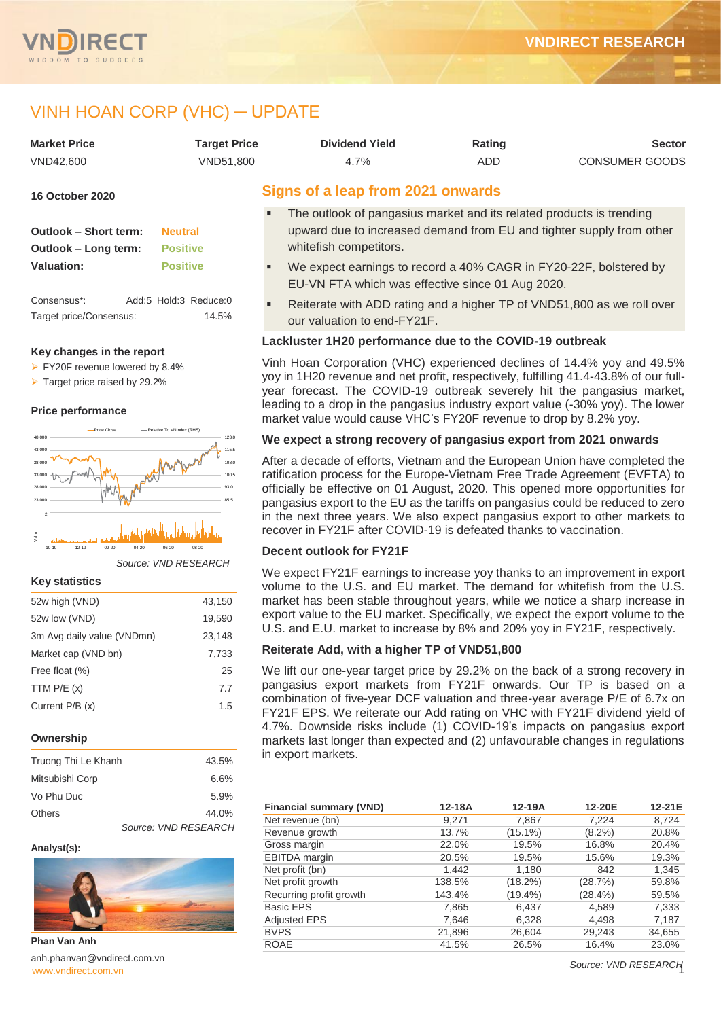

# VINH HOAN CORP (VHC) ─ UPDATE

| <b>Market Price</b>                    | <b>Target Price</b>            | <b>Dividend Yield</b>                                                                                                      | Rating     | <b>Sector</b>  |
|----------------------------------------|--------------------------------|----------------------------------------------------------------------------------------------------------------------------|------------|----------------|
| VND42,600                              | VND51,800                      | 4.7%                                                                                                                       | <b>ADD</b> | CONSUMER GOODS |
| <b>16 October 2020</b>                 |                                | Signs of a leap from 2021 onwards                                                                                          |            |                |
|                                        |                                | The outlook of pangasius market and its related products is trending<br>٠                                                  |            |                |
| <b>Outlook - Short term:</b>           | <b>Neutral</b>                 | upward due to increased demand from EU and tighter supply from other                                                       |            |                |
| Outlook - Long term:                   | <b>Positive</b>                | whitefish competitors.                                                                                                     |            |                |
| Valuation:                             | <b>Positive</b>                | We expect earnings to record a 40% CAGR in FY20-22F, bolstered by<br>٠<br>EU-VN FTA which was effective since 01 Aug 2020. |            |                |
| Consensus*:<br>Target price/Consensus: | Add:5 Hold:3 Reduce:0<br>14.5% | Reiterate with ADD rating and a higher TP of VND51,800 as we roll over<br>٠<br>our valuation to and EV91E                  |            |                |

#### **Key changes in the report**

 $\triangleright$  FY20F revenue lowered by 8.4%

 $\triangleright$  Target price raised by 29.2%

#### **Price performance**



 $\frac{1}{2}$  10-19 12-19 02-20 04-20 06-20 06-20 08-20 06-20 08-20

*Source: VND RESEARCH*

#### **Key statistics**

| 52w high (VND)             | 43,150 |
|----------------------------|--------|
| 52w low (VND)              | 19,590 |
| 3m Avg daily value (VNDmn) | 23,148 |
| Market cap (VND bn)        | 7,733  |
| Free float (%)             | 25     |
| TTM $P/E(x)$               | 7.7    |
| Current P/B (x)            | 1.5    |

#### **Ownership**

| Truong Thi Le Khanh | 43.5%                |
|---------------------|----------------------|
| Mitsubishi Corp     | 6.6%                 |
| Vo Phu Duc          | 5.9%                 |
| Others              | 44.0%                |
|                     | Source: VND RESEARCH |

#### **Analyst(s):**



**Phan Van Anh**

[www.vndirect.com.vn](file:///C:/Users/Andre/Downloads/www.vndirect.com.vn) anh.phanvan@vndirect.com.vn our valuation to end-FY21F.

### **Lackluster 1H20 performance due to the COVID-19 outbreak**

Vinh Hoan Corporation (VHC) experienced declines of 14.4% yoy and 49.5% yoy in 1H20 revenue and net profit, respectively, fulfilling 41.4-43.8% of our fullyear forecast. The COVID-19 outbreak severely hit the pangasius market, leading to a drop in the pangasius industry export value (-30% yoy). The lower market value would cause VHC's FY20F revenue to drop by 8.2% yoy.

### **We expect a strong recovery of pangasius export from 2021 onwards**

After a decade of efforts, Vietnam and the European Union have completed the ratification process for the Europe-Vietnam Free Trade Agreement (EVFTA) to officially be effective on 01 August, 2020. This opened more opportunities for pangasius export to the EU as the tariffs on pangasius could be reduced to zero in the next three years. We also expect pangasius export to other markets to recover in FY21F after COVID-19 is defeated thanks to vaccination.

### **Decent outlook for FY21F**

We expect FY21F earnings to increase yoy thanks to an improvement in export volume to the U.S. and EU market. The demand for whitefish from the U.S. market has been stable throughout years, while we notice a sharp increase in export value to the EU market. Specifically, we expect the export volume to the U.S. and E.U. market to increase by 8% and 20% yoy in FY21F, respectively.

### **Reiterate Add, with a higher TP of VND51,800**

We lift our one-year target price by 29.2% on the back of a strong recovery in pangasius export markets from FY21F onwards. Our TP is based on a combination of five-year DCF valuation and three-year average P/E of 6.7x on FY21F EPS. We reiterate our Add rating on VHC with FY21F dividend yield of 4.7%. Downside risks include (1) COVID-19's impacts on pangasius export markets last longer than expected and (2) unfavourable changes in regulations in export markets.

| <b>Financial summary (VND)</b> | 12-18A | 12-19A     | 12-20E     | 12-21E |
|--------------------------------|--------|------------|------------|--------|
| Net revenue (bn)               | 9,271  | 7,867      | 7.224      | 8,724  |
| Revenue growth                 | 13.7%  | $(15.1\%)$ | $(8.2\%)$  | 20.8%  |
| Gross margin                   | 22.0%  | 19.5%      | 16.8%      | 20.4%  |
| <b>EBITDA</b> margin           | 20.5%  | 19.5%      | 15.6%      | 19.3%  |
| Net profit (bn)                | 1,442  | 1,180      | 842        | 1,345  |
| Net profit growth              | 138.5% | (18.2%)    | (28.7%)    | 59.8%  |
| Recurring profit growth        | 143.4% | $(19.4\%)$ | $(28.4\%)$ | 59.5%  |
| <b>Basic EPS</b>               | 7,865  | 6,437      | 4,589      | 7,333  |
| <b>Adjusted EPS</b>            | 7,646  | 6,328      | 4,498      | 7,187  |
| <b>BVPS</b>                    | 21,896 | 26,604     | 29,243     | 34,655 |
| <b>ROAE</b>                    | 41.5%  | 26.5%      | 16.4%      | 23.0%  |

*Source: VND RESEARCH*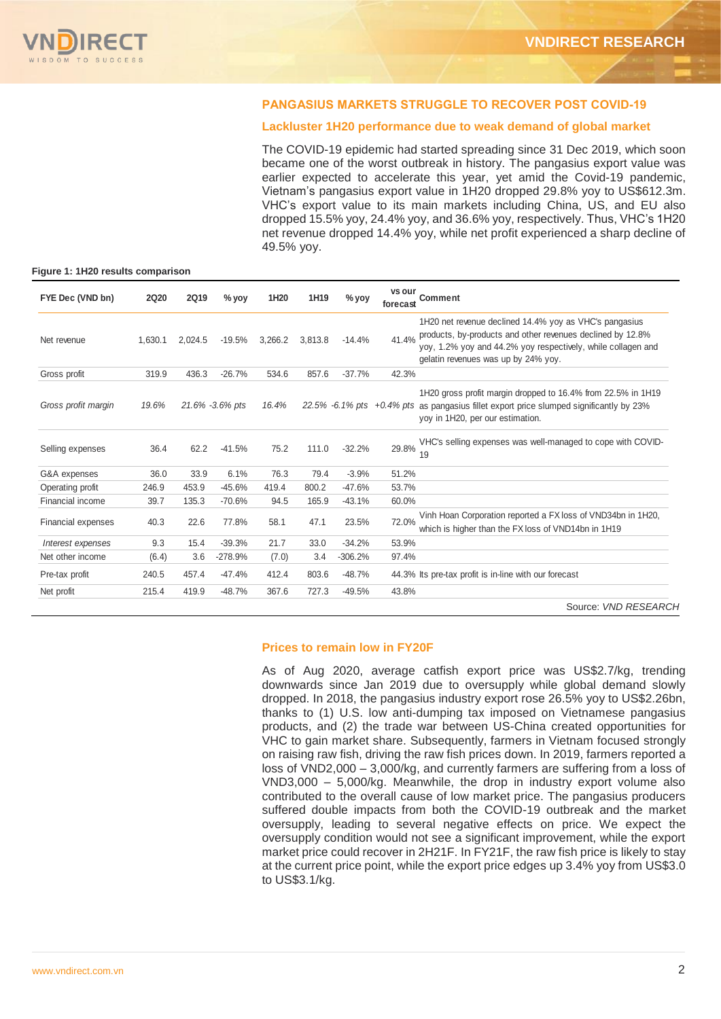### **PANGASIUS MARKETS STRUGGLE TO RECOVER POST COVID-19**

### **Lackluster 1H20 performance due to weak demand of global market**

The COVID-19 epidemic had started spreading since 31 Dec 2019, which soon became one of the worst outbreak in history. The pangasius export value was earlier expected to accelerate this year, yet amid the Covid-19 pandemic, Vietnam's pangasius export value in 1H20 dropped 29.8% yoy to US\$612.3m. VHC's export value to its main markets including China, US, and EU also dropped 15.5% yoy, 24.4% yoy, and 36.6% yoy, respectively. Thus, VHC's 1H20 net revenue dropped 14.4% yoy, while net profit experienced a sharp decline of 49.5% yoy.

#### **Figure 1: 1H20 results comparison**

| FYE Dec (VND bn)          | <b>2Q20</b> | 2Q19    | % yoy           | 1H <sub>20</sub> | 1H <sub>19</sub> | $%$ yoy   | vs our<br>forecast | <b>Comment</b>                                                                                                                                                                                                              |
|---------------------------|-------------|---------|-----------------|------------------|------------------|-----------|--------------------|-----------------------------------------------------------------------------------------------------------------------------------------------------------------------------------------------------------------------------|
| Net revenue               | 1,630.1     | 2,024.5 | $-19.5%$        | 3,266.2          | 3,813.8          | $-14.4%$  | 41.4%              | 1H20 net revenue declined 14.4% yoy as VHC's pangasius<br>products, by-products and other revenues declined by 12.8%<br>yoy, 1.2% yoy and 44.2% yoy respectively, while collagen and<br>gelatin revenues was up by 24% yoy. |
| Gross profit              | 319.9       | 436.3   | $-26.7%$        | 534.6            | 857.6            | $-37.7%$  | 42.3%              |                                                                                                                                                                                                                             |
| Gross profit margin       | 19.6%       |         | 21.6% -3.6% pts | 16.4%            |                  |           |                    | 1H20 gross profit margin dropped to 16.4% from 22.5% in 1H19<br>22.5% -6.1% pts +0.4% pts as pangasius fillet export price slumped significantly by 23%<br>yoy in 1H20, per our estimation.                                 |
| Selling expenses          | 36.4        | 62.2    | $-41.5%$        | 75.2             | 111.0            | $-32.2%$  | 29.8%              | VHC's selling expenses was well-managed to cope with COVID-<br>19                                                                                                                                                           |
| G&A expenses              | 36.0        | 33.9    | 6.1%            | 76.3             | 79.4             | $-3.9%$   | 51.2%              |                                                                                                                                                                                                                             |
| Operating profit          | 246.9       | 453.9   | $-45.6%$        | 419.4            | 800.2            | $-47.6%$  | 53.7%              |                                                                                                                                                                                                                             |
| Financial income          | 39.7        | 135.3   | $-70.6%$        | 94.5             | 165.9            | $-43.1%$  | 60.0%              |                                                                                                                                                                                                                             |
| <b>Financial expenses</b> | 40.3        | 22.6    | 77.8%           | 58.1             | 47.1             | 23.5%     | 72.0%              | Vinh Hoan Corporation reported a FX loss of VND34bn in 1H20,<br>which is higher than the FX loss of VND14bn in 1H19                                                                                                         |
| Interest expenses         | 9.3         | 15.4    | $-39.3%$        | 21.7             | 33.0             | $-34.2%$  | 53.9%              |                                                                                                                                                                                                                             |
| Net other income          | (6.4)       | 3.6     | $-278.9%$       | (7.0)            | 3.4              | $-306.2%$ | 97.4%              |                                                                                                                                                                                                                             |
| Pre-tax profit            | 240.5       | 457.4   | $-47.4%$        | 412.4            | 803.6            | $-48.7%$  |                    | 44.3% Its pre-tax profit is in-line with our forecast                                                                                                                                                                       |
| Net profit                | 215.4       | 419.9   | $-48.7%$        | 367.6            | 727.3            | $-49.5%$  | 43.8%              |                                                                                                                                                                                                                             |
|                           |             |         |                 |                  |                  |           |                    | Source: VND RESEARCH                                                                                                                                                                                                        |

#### **Prices to remain low in FY20F**

As of Aug 2020, average catfish export price was US\$2.7/kg, trending downwards since Jan 2019 due to oversupply while global demand slowly dropped. In 2018, the pangasius industry export rose 26.5% yoy to US\$2.26bn, thanks to (1) U.S. low anti-dumping tax imposed on Vietnamese pangasius products, and (2) the trade war between US-China created opportunities for VHC to gain market share. Subsequently, farmers in Vietnam focused strongly on raising raw fish, driving the raw fish prices down. In 2019, farmers reported a loss of VND2,000 – 3,000/kg, and currently farmers are suffering from a loss of VND3,000 – 5,000/kg. Meanwhile, the drop in industry export volume also contributed to the overall cause of low market price. The pangasius producers suffered double impacts from both the COVID-19 outbreak and the market oversupply, leading to several negative effects on price. We expect the oversupply condition would not see a significant improvement, while the export market price could recover in 2H21F. In FY21F, the raw fish price is likely to stay at the current price point, while the export price edges up 3.4% yoy from US\$3.0 to US\$3.1/kg.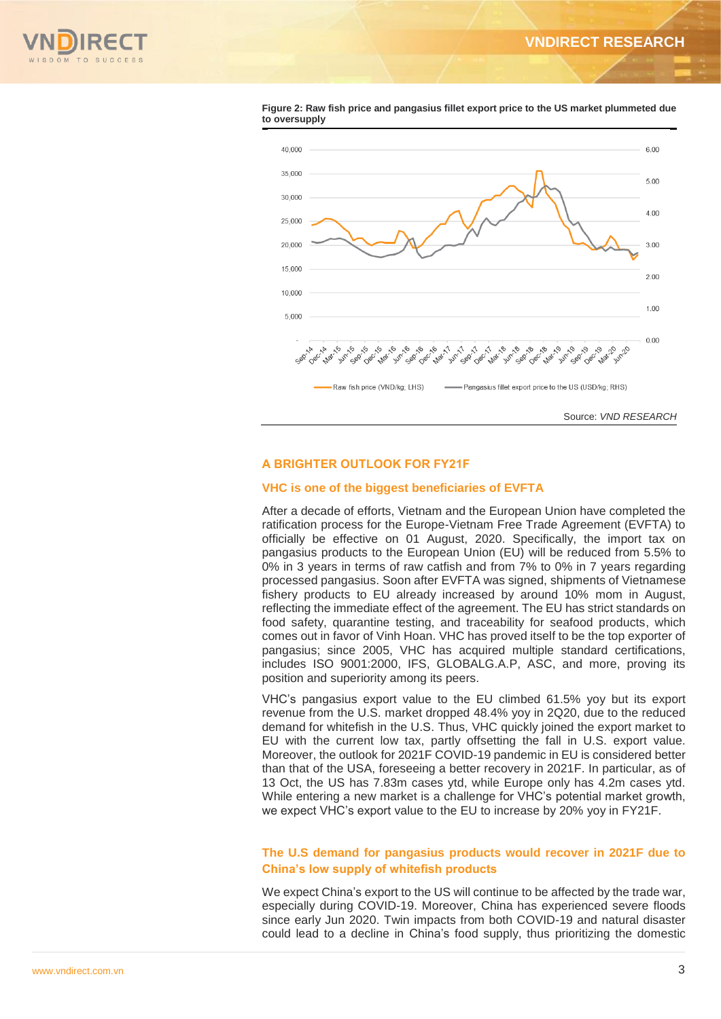



#### **Figure 2: Raw fish price and pangasius fillet export price to the US market plummeted due to oversupply**

### **A BRIGHTER OUTLOOK FOR FY21F**

### **VHC is one of the biggest beneficiaries of EVFTA**

After a decade of efforts, Vietnam and the European Union have completed the ratification process for the Europe-Vietnam Free Trade Agreement (EVFTA) to officially be effective on 01 August, 2020. Specifically, the import tax on pangasius products to the European Union (EU) will be reduced from 5.5% to 0% in 3 years in terms of raw catfish and from 7% to 0% in 7 years regarding processed pangasius. Soon after EVFTA was signed, shipments of Vietnamese fishery products to EU already increased by around 10% mom in August, reflecting the immediate effect of the agreement. The EU has strict standards on food safety, quarantine testing, and traceability for seafood products, which comes out in favor of Vinh Hoan. VHC has proved itself to be the top exporter of pangasius; since 2005, VHC has acquired multiple standard certifications, includes ISO 9001:2000, IFS, GLOBALG.A.P, ASC, and more, proving its position and superiority among its peers.

VHC's pangasius export value to the EU climbed 61.5% yoy but its export revenue from the U.S. market dropped 48.4% yoy in 2Q20, due to the reduced demand for whitefish in the U.S. Thus, VHC quickly joined the export market to EU with the current low tax, partly offsetting the fall in U.S. export value. Moreover, the outlook for 2021F COVID-19 pandemic in EU is considered better than that of the USA, foreseeing a better recovery in 2021F. In particular, as of 13 Oct, the US has 7.83m cases ytd, while Europe only has 4.2m cases ytd. While entering a new market is a challenge for VHC's potential market growth, we expect VHC's export value to the EU to increase by 20% yoy in FY21F.

### **The U.S demand for pangasius products would recover in 2021F due to China's low supply of whitefish products**

We expect China's export to the US will continue to be affected by the trade war, especially during COVID-19. Moreover, China has experienced severe floods since early Jun 2020. Twin impacts from both COVID-19 and natural disaster could lead to a decline in China's food supply, thus prioritizing the domestic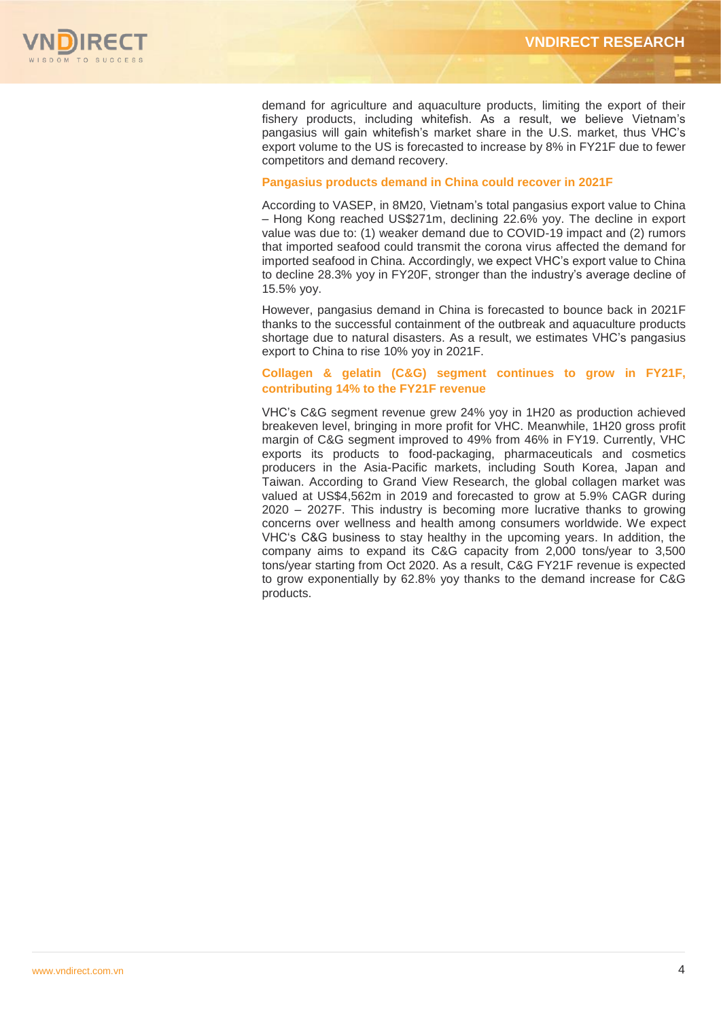

demand for agriculture and aquaculture products, limiting the export of their fishery products, including whitefish. As a result, we believe Vietnam's pangasius will gain whitefish's market share in the U.S. market, thus VHC's export volume to the US is forecasted to increase by 8% in FY21F due to fewer competitors and demand recovery.

### **Pangasius products demand in China could recover in 2021F**

According to VASEP, in 8M20, Vietnam's total pangasius export value to China – Hong Kong reached US\$271m, declining 22.6% yoy. The decline in export value was due to: (1) weaker demand due to COVID-19 impact and (2) rumors that imported seafood could transmit the corona virus affected the demand for imported seafood in China. Accordingly, we expect VHC's export value to China to decline 28.3% yoy in FY20F, stronger than the industry's average decline of 15.5% yoy.

However, pangasius demand in China is forecasted to bounce back in 2021F thanks to the successful containment of the outbreak and aquaculture products shortage due to natural disasters. As a result, we estimates VHC's pangasius export to China to rise 10% yoy in 2021F.

### **Collagen & gelatin (C&G) segment continues to grow in FY21F, contributing 14% to the FY21F revenue**

VHC's C&G segment revenue grew 24% yoy in 1H20 as production achieved breakeven level, bringing in more profit for VHC. Meanwhile, 1H20 gross profit margin of C&G segment improved to 49% from 46% in FY19. Currently, VHC exports its products to food-packaging, pharmaceuticals and cosmetics producers in the Asia-Pacific markets, including South Korea, Japan and Taiwan. According to Grand View Research, the global collagen market was valued at US\$4,562m in 2019 and forecasted to grow at 5.9% CAGR during 2020 – 2027F. This industry is becoming more lucrative thanks to growing concerns over wellness and health among consumers worldwide. We expect VHC's C&G business to stay healthy in the upcoming years. In addition, the company aims to expand its C&G capacity from 2,000 tons/year to 3,500 tons/year starting from Oct 2020. As a result, C&G FY21F revenue is expected to grow exponentially by 62.8% yoy thanks to the demand increase for C&G products.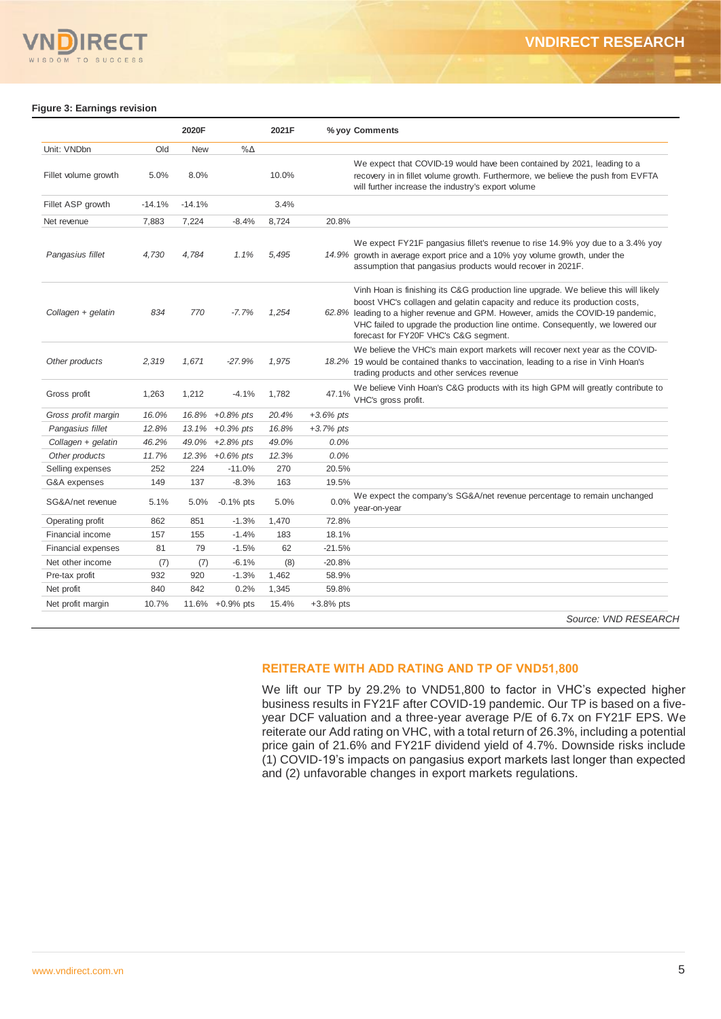

#### **Figure 3: Earnings revision**

|                           |          | 2020F      |              | 2021F |             | % yoy Comments                                                                                                                                                                                                                                                                                                                                                                   |
|---------------------------|----------|------------|--------------|-------|-------------|----------------------------------------------------------------------------------------------------------------------------------------------------------------------------------------------------------------------------------------------------------------------------------------------------------------------------------------------------------------------------------|
| Unit: VNDbn               | Old      | <b>New</b> | $% \Delta$   |       |             |                                                                                                                                                                                                                                                                                                                                                                                  |
| Fillet volume growth      | 5.0%     | 8.0%       |              | 10.0% |             | We expect that COVID-19 would have been contained by 2021, leading to a<br>recovery in in fillet volume growth. Furthermore, we believe the push from EVFTA<br>will further increase the industry's export volume                                                                                                                                                                |
| Fillet ASP growth         | $-14.1%$ | $-14.1%$   |              | 3.4%  |             |                                                                                                                                                                                                                                                                                                                                                                                  |
| Net revenue               | 7,883    | 7,224      | $-8.4%$      | 8,724 | 20.8%       |                                                                                                                                                                                                                                                                                                                                                                                  |
| Pangasius fillet          | 4.730    | 4.784      | 1.1%         | 5.495 |             | We expect FY21F pangasius fillet's revenue to rise 14.9% yoy due to a 3.4% yoy<br>14.9% growth in average export price and a 10% yoy volume growth, under the<br>assumption that pangasius products would recover in 2021F.                                                                                                                                                      |
| Collagen + gelatin        | 834      | 770        | $-7.7%$      | 1,254 |             | Vinh Hoan is finishing its C&G production line upgrade. We believe this will likely<br>boost VHC's collagen and gelatin capacity and reduce its production costs,<br>62.8% leading to a higher revenue and GPM. However, amids the COVID-19 pandemic,<br>VHC failed to upgrade the production line ontime. Consequently, we lowered our<br>forecast for FY20F VHC's C&G segment. |
| Other products            | 2,319    | 1,671      | $-27.9%$     | 1,975 |             | We believe the VHC's main export markets will recover next year as the COVID-<br>18.2% 19 would be contained thanks to vaccination, leading to a rise in Vinh Hoan's<br>trading products and other services revenue                                                                                                                                                              |
| Gross profit              | 1,263    | 1,212      | $-4.1%$      | 1,782 | 47.1%       | We believe Vinh Hoan's C&G products with its high GPM will greatly contribute to<br>VHC's gross profit.                                                                                                                                                                                                                                                                          |
| Gross profit margin       | 16.0%    | 16.8%      | $+0.8\%$ pts | 20.4% | $+3.6%$ pts |                                                                                                                                                                                                                                                                                                                                                                                  |
| Pangasius fillet          | 12.8%    | 13.1%      | $+0.3%$ pts  | 16.8% | $+3.7%$ pts |                                                                                                                                                                                                                                                                                                                                                                                  |
| Collagen + gelatin        | 46.2%    | 49.0%      | $+2.8%$ pts  | 49.0% | 0.0%        |                                                                                                                                                                                                                                                                                                                                                                                  |
| Other products            | 11.7%    | 12.3%      | $+0.6\%$ pts | 12.3% | 0.0%        |                                                                                                                                                                                                                                                                                                                                                                                  |
| Selling expenses          | 252      | 224        | $-11.0%$     | 270   | 20.5%       |                                                                                                                                                                                                                                                                                                                                                                                  |
| G&A expenses              | 149      | 137        | $-8.3%$      | 163   | 19.5%       |                                                                                                                                                                                                                                                                                                                                                                                  |
| SG&A/net revenue          | 5.1%     | 5.0%       | $-0.1\%$ pts | 5.0%  | 0.0%        | We expect the company's SG&A/net revenue percentage to remain unchanged<br>year-on-year                                                                                                                                                                                                                                                                                          |
| Operating profit          | 862      | 851        | $-1.3%$      | 1,470 | 72.8%       |                                                                                                                                                                                                                                                                                                                                                                                  |
| Financial income          | 157      | 155        | $-1.4%$      | 183   | 18.1%       |                                                                                                                                                                                                                                                                                                                                                                                  |
| <b>Financial expenses</b> | 81       | 79         | $-1.5%$      | 62    | $-21.5%$    |                                                                                                                                                                                                                                                                                                                                                                                  |
| Net other income          | (7)      | (7)        | $-6.1%$      | (8)   | $-20.8%$    |                                                                                                                                                                                                                                                                                                                                                                                  |
| Pre-tax profit            | 932      | 920        | $-1.3%$      | 1,462 | 58.9%       |                                                                                                                                                                                                                                                                                                                                                                                  |
| Net profit                | 840      | 842        | 0.2%         | 1,345 | 59.8%       |                                                                                                                                                                                                                                                                                                                                                                                  |
| Net profit margin         | 10.7%    | 11.6%      | $+0.9%$ pts  | 15.4% | $+3.8%$ pts |                                                                                                                                                                                                                                                                                                                                                                                  |

### **REITERATE WITH ADD RATING AND TP OF VND51,800**

We lift our TP by 29.2% to VND51,800 to factor in VHC's expected higher business results in FY21F after COVID-19 pandemic. Our TP is based on a fiveyear DCF valuation and a three-year average P/E of 6.7x on FY21F EPS. We reiterate our Add rating on VHC, with a total return of 26.3%, including a potential price gain of 21.6% and FY21F dividend yield of 4.7%. Downside risks include (1) COVID-19's impacts on pangasius export markets last longer than expected and (2) unfavorable changes in export markets regulations.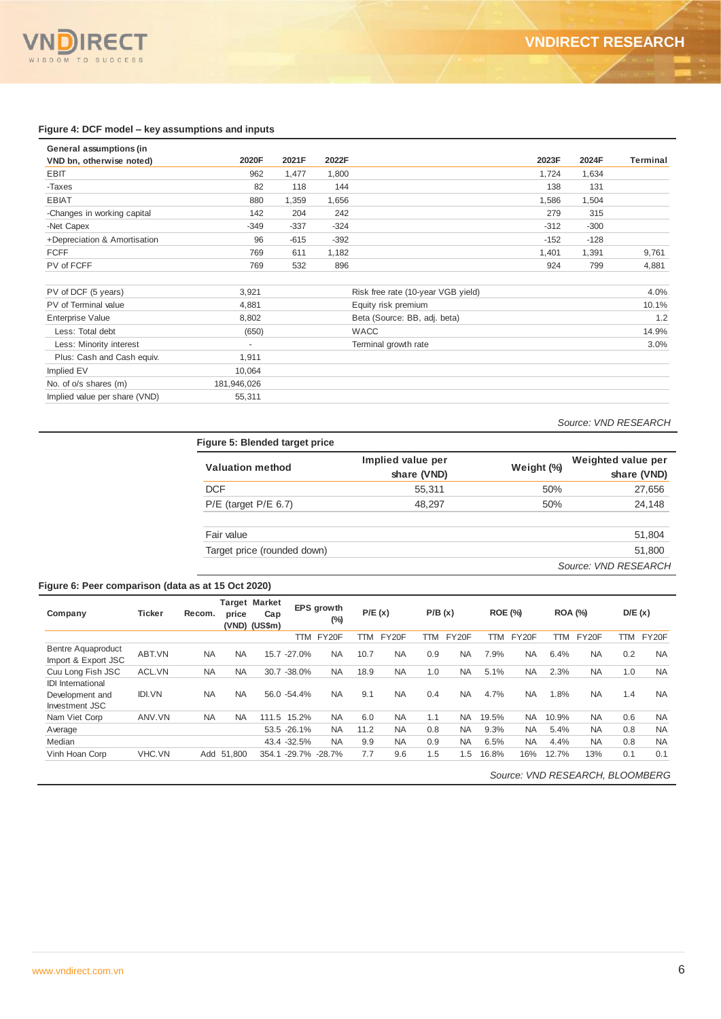

#### **Figure 4: DCF model – key assumptions and inputs**

| General assumptions (in       |             |        |        |                                    |        |        |          |
|-------------------------------|-------------|--------|--------|------------------------------------|--------|--------|----------|
| VND bn, otherwise noted)      | 2020F       | 2021F  | 2022F  |                                    | 2023F  | 2024F  | Terminal |
| <b>EBIT</b>                   | 962         | 1,477  | 1,800  |                                    | 1,724  | 1,634  |          |
| -Taxes                        | 82          | 118    | 144    |                                    | 138    | 131    |          |
| <b>EBIAT</b>                  | 880         | 1,359  | 1,656  |                                    | 1,586  | 1,504  |          |
| -Changes in working capital   | 142         | 204    | 242    |                                    | 279    | 315    |          |
| -Net Capex                    | $-349$      | $-337$ | $-324$ |                                    | $-312$ | $-300$ |          |
| +Depreciation & Amortisation  | 96          | $-615$ | $-392$ |                                    | $-152$ | $-128$ |          |
| <b>FCFF</b>                   | 769         | 611    | 1,182  |                                    | 1,401  | 1,391  | 9,761    |
| PV of FCFF                    | 769         | 532    | 896    |                                    | 924    | 799    | 4,881    |
| PV of DCF (5 years)           | 3,921       |        |        | Risk free rate (10-year VGB yield) |        |        | 4.0%     |
| PV of Terminal value          | 4,881       |        |        | Equity risk premium                |        |        | 10.1%    |
| Enterprise Value              | 8,802       |        |        | Beta (Source: BB, adj. beta)       |        |        | 1.2      |
| Less: Total debt              | (650)       |        |        | <b>WACC</b>                        |        |        | 14.9%    |
| Less: Minority interest       | ٠           |        |        | Terminal growth rate               |        |        | 3.0%     |
| Plus: Cash and Cash equiv.    | 1,911       |        |        |                                    |        |        |          |
| Implied EV                    | 10,064      |        |        |                                    |        |        |          |
| No. of o/s shares (m)         | 181,946,026 |        |        |                                    |        |        |          |
| Implied value per share (VND) | 55,311      |        |        |                                    |        |        |          |

 *Source: VND RESEARCH* 

| <b>Valuation method</b>     | Implied value per<br>share (VND) | Weight (%) | Weighted value per<br>share (VND) |
|-----------------------------|----------------------------------|------------|-----------------------------------|
| <b>DCF</b>                  | 55,311                           | 50%        | 27,656                            |
| $P/E$ (target $P/E$ 6.7)    | 48,297                           | 50%        | 24,148                            |
| Fair value                  |                                  |            | 51,804                            |
| Target price (rounded down) |                                  |            | 51,800                            |
|                             |                                  |            | Source: VND RESEARCH              |

### **Figure 6: Peer comparison (data as at 15 Oct 2020)**

| Company                                                       | <b>Ticker</b> | Recom.    | price     | <b>Target Market</b><br>Cap<br>(VND) (US\$m) |                     | EPS growth<br>$(\%)$ | P/E(x) |           | P/B(x) |           | <b>ROE (%)</b> |           | <b>ROA (%)</b> |           | D/E(x) |           |
|---------------------------------------------------------------|---------------|-----------|-----------|----------------------------------------------|---------------------|----------------------|--------|-----------|--------|-----------|----------------|-----------|----------------|-----------|--------|-----------|
|                                                               |               |           |           |                                              | TTM                 | FY20F                | TTM    | FY20F     | TTM    | FY20F     | TTM            | FY20F     | TTM            | FY20F     | TTM    | FY20F     |
| <b>Bentre Aquaproduct</b><br>Import & Export JSC              | ABT.VN        | <b>NA</b> | <b>NA</b> | 15.7                                         | $-27.0%$            | <b>NA</b>            | 10.7   | <b>NA</b> | 0.9    | <b>NA</b> | 7.9%           | <b>NA</b> | 6.4%           | <b>NA</b> | 0.2    | <b>NA</b> |
| Cuu Long Fish JSC                                             | ACL.VN        | <b>NA</b> | <b>NA</b> |                                              | 30.7 -38.0%         | <b>NA</b>            | 18.9   | <b>NA</b> | 1.0    | <b>NA</b> | 5.1%           | <b>NA</b> | 2.3%           | <b>NA</b> | 1.0    | <b>NA</b> |
| <b>IDI</b> International<br>Development and<br>Investment JSC | <b>IDI.VN</b> | <b>NA</b> | <b>NA</b> |                                              | 56.0 - 54.4%        | <b>NA</b>            | 9.1    | <b>NA</b> | 0.4    | <b>NA</b> | 4.7%           | <b>NA</b> | 1.8%           | <b>NA</b> | 1.4    | <b>NA</b> |
| Nam Viet Corp                                                 | ANV.VN        | <b>NA</b> | <b>NA</b> | 111.5                                        | 15.2%               | <b>NA</b>            | 6.0    | <b>NA</b> | 1.1    | <b>NA</b> | 19.5%          | <b>NA</b> | 10.9%          | <b>NA</b> | 0.6    | <b>NA</b> |
| Average                                                       |               |           |           |                                              | 53.5 -26.1%         | <b>NA</b>            | 11.2   | <b>NA</b> | 0.8    | <b>NA</b> | 9.3%           | <b>NA</b> | 5.4%           | <b>NA</b> | 0.8    | <b>NA</b> |
| Median                                                        |               |           |           |                                              | 43.4 -32.5%         | <b>NA</b>            | 9.9    | <b>NA</b> | 0.9    | <b>NA</b> | 6.5%           | <b>NA</b> | 4.4%           | <b>NA</b> | 0.8    | <b>NA</b> |
| Vinh Hoan Corp                                                | VHC.VN        | Add       | 51.800    |                                              | 354.1 -29.7% -28.7% |                      | 7.7    | 9.6       | 1.5    | 1.5       | 16.8%          | 16%       | 12.7%          | 13%       | 0.1    | 0.1       |

### *Source: VND RESEARCH, BLOOMBERG*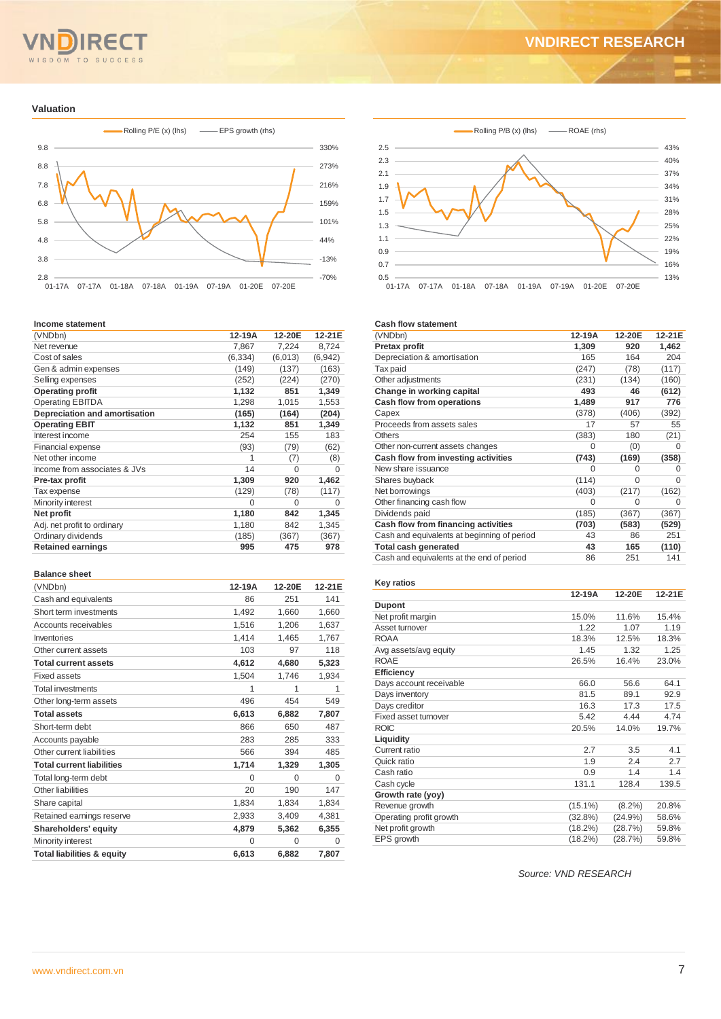#### $TQ$ **SUCCESS**  $M$

# **VNDIRECT RESEARCH**

#### **Valuation**



#### **Income statement**

| (VNDbn)                       | 12-19A   | 12-20E   | 12-21E   |
|-------------------------------|----------|----------|----------|
| Net revenue                   | 7,867    | 7,224    | 8,724    |
| Cost of sales                 | (6, 334) | (6,013)  | (6, 942) |
| Gen & admin expenses          | (149)    | (137)    | (163)    |
| Selling expenses              | (252)    | (224)    | (270)    |
| <b>Operating profit</b>       | 1,132    | 851      | 1,349    |
| <b>Operating EBITDA</b>       | 1,298    | 1,015    | 1,553    |
| Depreciation and amortisation | (165)    | (164)    | (204)    |
| <b>Operating EBIT</b>         | 1,132    | 851      | 1,349    |
| Interest income               | 254      | 155      | 183      |
| <b>Financial expense</b>      | (93)     | (79)     | (62)     |
| Net other income              | 1        | (7)      | (8)      |
| Income from associates & JVs  | 14       | 0        | 0        |
| Pre-tax profit                | 1,309    | 920      | 1,462    |
| Tax expense                   | (129)    | (78)     | (117)    |
| Minority interest             | $\Omega$ | $\Omega$ | 0        |
| Net profit                    | 1,180    | 842      | 1,345    |
| Adj. net profit to ordinary   | 1,180    | 842      | 1,345    |
| Ordinary dividends            | (185)    | (367)    | (367)    |
| <b>Retained earnings</b>      | 995      | 475      | 978      |
|                               |          |          |          |

#### **Balance sheet**

| (VNDbn)                               | 12-19A   | 12-20E   | 12-21E |
|---------------------------------------|----------|----------|--------|
| Cash and equivalents                  | 86       | 251      | 141    |
| Short term investments                | 1,492    | 1,660    | 1,660  |
| Accounts receivables                  | 1,516    | 1,206    | 1,637  |
| Inventories                           | 1,414    | 1,465    | 1,767  |
| Other current assets                  | 103      | 97       | 118    |
| <b>Total current assets</b>           | 4,612    | 4,680    | 5,323  |
| Fixed assets                          | 1,504    | 1,746    | 1,934  |
| <b>Total investments</b>              | 1        | 1        | 1      |
| Other long-term assets                | 496      | 454      | 549    |
| <b>Total assets</b>                   | 6,613    | 6,882    | 7,807  |
| Short-term debt                       | 866      | 650      | 487    |
| Accounts payable                      | 283      | 285      | 333    |
| Other current liabilities             | 566      | 394      | 485    |
| <b>Total current liabilities</b>      | 1,714    | 1,329    | 1,305  |
| Total long-term debt                  | $\Omega$ | $\Omega$ | 0      |
| Other liabilities                     | 20       | 190      | 147    |
| Share capital                         | 1,834    | 1,834    | 1,834  |
| Retained earnings reserve             | 2,933    | 3,409    | 4,381  |
| Shareholders' equity                  | 4,879    | 5,362    | 6,355  |
| Minority interest                     | 0        | $\Omega$ | 0      |
| <b>Total liabilities &amp; equity</b> | 6,613    | 6,882    | 7,807  |



#### **Cash flow statement**

| (VNDbn)                                     | 12-19A | 12-20E   | 12-21E |
|---------------------------------------------|--------|----------|--------|
| Pretax profit                               | 1,309  | 920      | 1,462  |
| Depreciation & amortisation                 | 165    | 164      | 204    |
| Tax paid                                    | (247)  | (78)     | (117)  |
| Other adjustments                           | (231)  | (134)    | (160)  |
| Change in working capital                   | 493    | 46       | (612)  |
| Cash flow from operations                   | 1,489  | 917      | 776    |
| Capex                                       | (378)  | (406)    | (392)  |
| Proceeds from assets sales                  | 17     | 57       | 55     |
| <b>Others</b>                               | (383)  | 180      | (21)   |
| Other non-current assets changes            | 0      | (0)      | 0      |
| Cash flow from investing activities         | (743)  | (169)    | (358)  |
| New share issuance                          | 0      | $\Omega$ | 0      |
| Shares buyback                              | (114)  | $\Omega$ | 0      |
| Net borrowings                              | (403)  | (217)    | (162)  |
| Other financing cash flow                   | 0      | $\Omega$ | 0      |
| Dividends paid                              | (185)  | (367)    | (367)  |
| Cash flow from financing activities         | (703)  | (583)    | (529)  |
| Cash and equivalents at beginning of period | 43     | 86       | 251    |
| <b>Total cash generated</b>                 | 43     | 165      | (110)  |
| Cash and equivalents at the end of period   | 86     | 251      | 141    |

#### **Key ratios**

|                         | 12-19A     | 12-20E     | 12-21E |
|-------------------------|------------|------------|--------|
| <b>Dupont</b>           |            |            |        |
| Net profit margin       | 15.0%      | 11.6%      | 15.4%  |
| Asset turnover          | 1.22       | 1.07       | 1.19   |
| <b>ROAA</b>             | 18.3%      | 12.5%      | 18.3%  |
| Avg assets/avg equity   | 1.45       | 1.32       | 1.25   |
| <b>ROAE</b>             | 26.5%      | 16.4%      | 23.0%  |
| Efficiency              |            |            |        |
| Days account receivable | 66.0       | 56.6       | 64.1   |
| Days inventory          | 81.5       | 89.1       | 92.9   |
| Days creditor           | 16.3       | 17.3       | 17.5   |
| Fixed asset turnover    | 5.42       | 4.44       | 4.74   |
| <b>ROIC</b>             | 20.5%      | 14.0%      | 19.7%  |
| Liquidity               |            |            |        |
| Current ratio           | 2.7        | 3.5        | 4.1    |
| Quick ratio             | 1.9        | 2.4        | 2.7    |
| Cash ratio              | 0.9        | 1.4        | 1.4    |
| Cash cycle              | 131.1      | 128.4      | 139.5  |
| Growth rate (yoy)       |            |            |        |
| Revenue growth          | $(15.1\%)$ | $(8.2\%)$  | 20.8%  |
| Operating profit growth | (32.8%)    | $(24.9\%)$ | 58.6%  |
| Net profit growth       | (18.2%)    | (28.7%)    | 59.8%  |
| EPS growth              | (18.2%)    | (28.7%)    | 59.8%  |

*Source: VND RESEARCH*